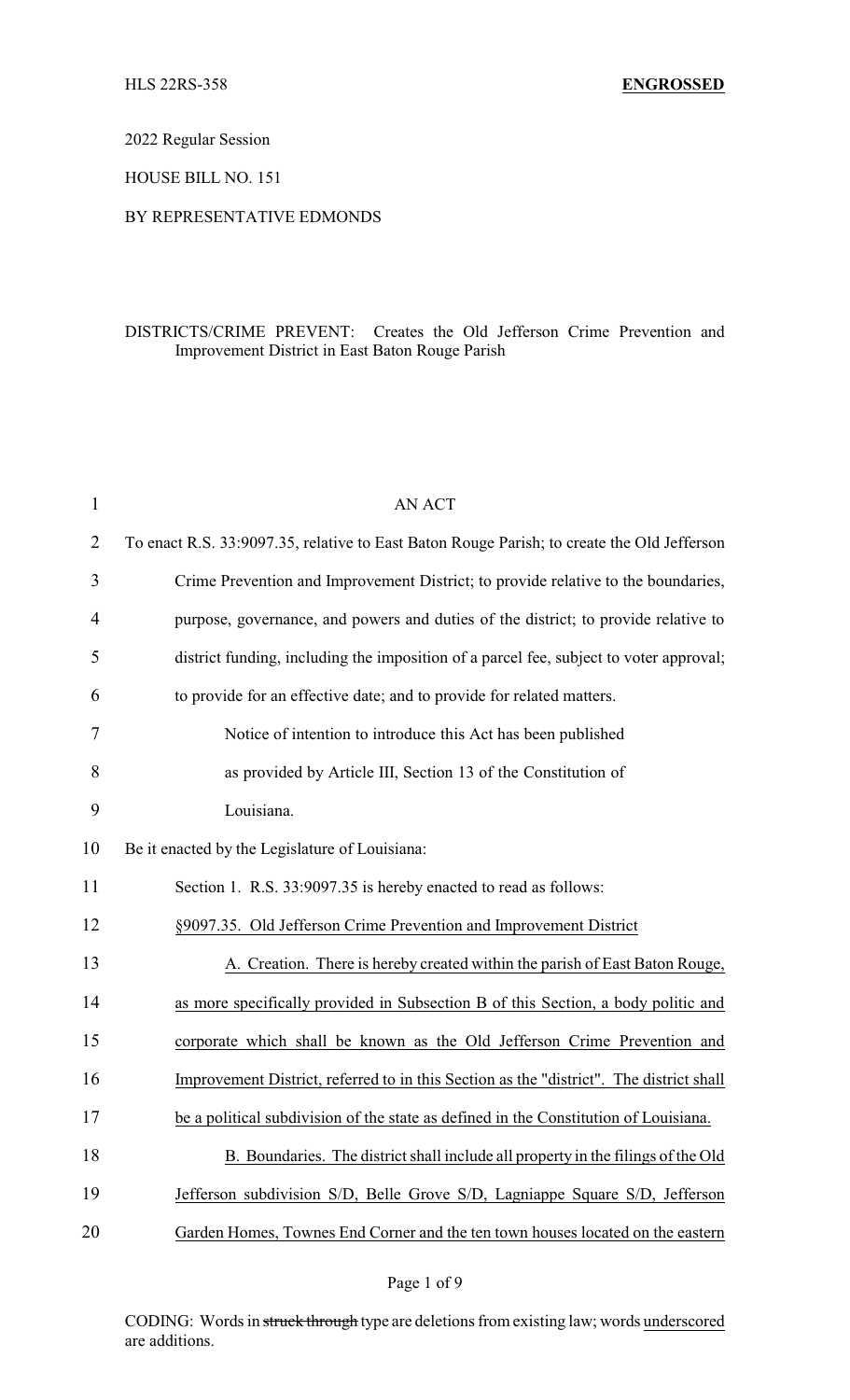2022 Regular Session

HOUSE BILL NO. 151

## BY REPRESENTATIVE EDMONDS

## DISTRICTS/CRIME PREVENT: Creates the Old Jefferson Crime Prevention and Improvement District in East Baton Rouge Parish

| $\mathbf{1}$   | <b>AN ACT</b>                                                                              |
|----------------|--------------------------------------------------------------------------------------------|
| $\overline{2}$ | To enact R.S. 33:9097.35, relative to East Baton Rouge Parish; to create the Old Jefferson |
| 3              | Crime Prevention and Improvement District; to provide relative to the boundaries,          |
| $\overline{4}$ | purpose, governance, and powers and duties of the district; to provide relative to         |
| 5              | district funding, including the imposition of a parcel fee, subject to voter approval;     |
| 6              | to provide for an effective date; and to provide for related matters.                      |
| 7              | Notice of intention to introduce this Act has been published                               |
| 8              | as provided by Article III, Section 13 of the Constitution of                              |
| 9              | Louisiana.                                                                                 |
| 10             | Be it enacted by the Legislature of Louisiana:                                             |
| 11             | Section 1. R.S. 33:9097.35 is hereby enacted to read as follows:                           |
| 12             | §9097.35. Old Jefferson Crime Prevention and Improvement District                          |
| 13             | A. Creation. There is hereby created within the parish of East Baton Rouge,                |
| 14             | as more specifically provided in Subsection B of this Section, a body politic and          |
| 15             | corporate which shall be known as the Old Jefferson Crime Prevention and                   |
| 16             | Improvement District, referred to in this Section as the "district". The district shall    |
| 17             | be a political subdivision of the state as defined in the Constitution of Louisiana.       |
| 18             | B. Boundaries. The district shall include all property in the filings of the Old           |
| 19             | Jefferson subdivision S/D, Belle Grove S/D, Lagniappe Square S/D, Jefferson                |
| 20             | Garden Homes, Townes End Corner and the ten town houses located on the eastern             |

Page 1 of 9

CODING: Words in struck through type are deletions from existing law; words underscored are additions.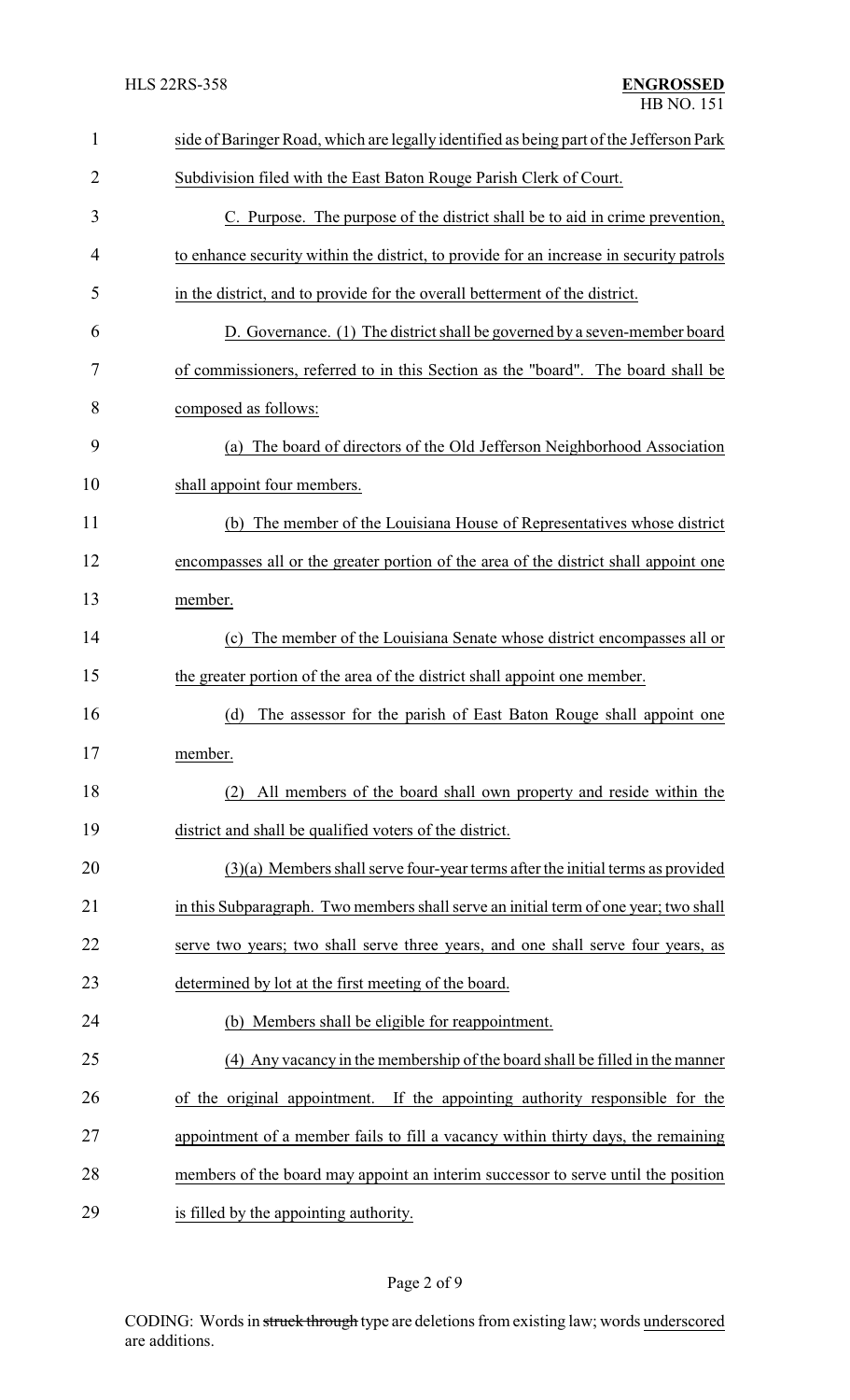| $\mathbf{1}$ | side of Baringer Road, which are legally identified as being part of the Jefferson Park |
|--------------|-----------------------------------------------------------------------------------------|
| 2            | Subdivision filed with the East Baton Rouge Parish Clerk of Court.                      |
| 3            | C. Purpose. The purpose of the district shall be to aid in crime prevention,            |
| 4            | to enhance security within the district, to provide for an increase in security patrols |
| 5            | in the district, and to provide for the overall betterment of the district.             |
| 6            | D. Governance. (1) The district shall be governed by a seven-member board               |
| 7            | of commissioners, referred to in this Section as the "board". The board shall be        |
| 8            | composed as follows:                                                                    |
| 9            | (a) The board of directors of the Old Jefferson Neighborhood Association                |
| 10           | shall appoint four members.                                                             |
| 11           | (b) The member of the Louisiana House of Representatives whose district                 |
| 12           | encompasses all or the greater portion of the area of the district shall appoint one    |
| 13           | member.                                                                                 |
| 14           | The member of the Louisiana Senate whose district encompasses all or<br>(c)             |
| 15           | the greater portion of the area of the district shall appoint one member.               |
| 16           | (d)<br>The assessor for the parish of East Baton Rouge shall appoint one                |
| 17           | member.                                                                                 |
| 18           | All members of the board shall own property and reside within the<br>(2)                |
| 19           | district and shall be qualified voters of the district.                                 |
| 20           | $(3)(a)$ Members shall serve four-year terms after the initial terms as provided        |
| 21           | in this Subparagraph. Two members shall serve an initial term of one year; two shall    |
| 22           | serve two years; two shall serve three years, and one shall serve four years, as        |
| 23           | determined by lot at the first meeting of the board.                                    |
| 24           | (b) Members shall be eligible for reappointment.                                        |
| 25           | (4) Any vacancy in the membership of the board shall be filled in the manner            |
| 26           | If the appointing authority responsible for the<br>of the original appointment.         |
| 27           | appointment of a member fails to fill a vacancy within thirty days, the remaining       |
| 28           | members of the board may appoint an interim successor to serve until the position       |
| 29           | is filled by the appointing authority.                                                  |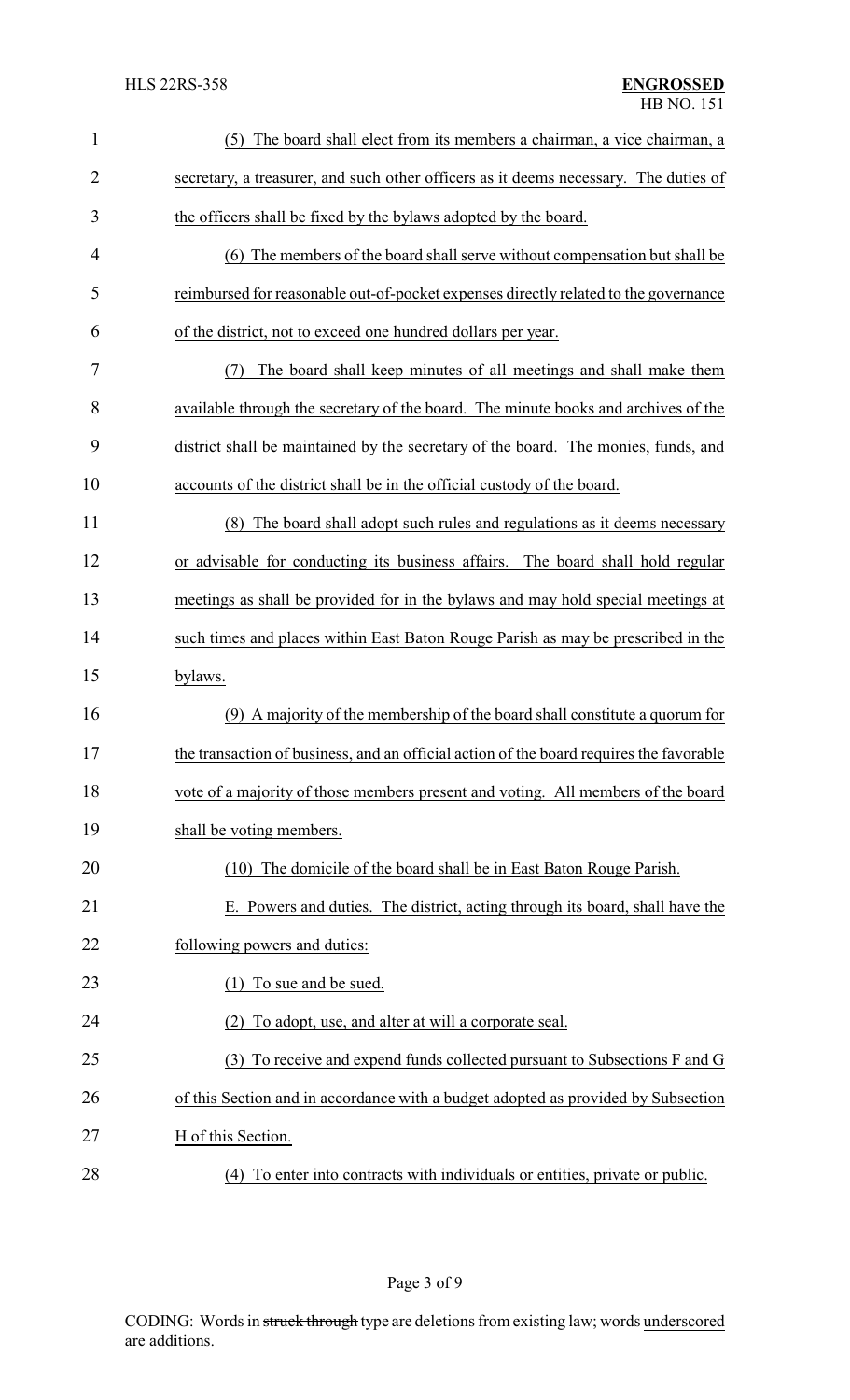| $\mathbf{1}$   | (5)<br>The board shall elect from its members a chairman, a vice chairman, a            |
|----------------|-----------------------------------------------------------------------------------------|
| $\overline{2}$ | secretary, a treasurer, and such other officers as it deems necessary. The duties of    |
| 3              | the officers shall be fixed by the bylaws adopted by the board.                         |
| 4              | (6) The members of the board shall serve without compensation but shall be              |
| 5              | reimbursed for reasonable out-of-pocket expenses directly related to the governance     |
| 6              | of the district, not to exceed one hundred dollars per year.                            |
| 7              | The board shall keep minutes of all meetings and shall make them<br>(7)                 |
| 8              | available through the secretary of the board. The minute books and archives of the      |
| 9              | district shall be maintained by the secretary of the board. The monies, funds, and      |
| 10             | accounts of the district shall be in the official custody of the board.                 |
| 11             | The board shall adopt such rules and regulations as it deems necessary<br>(8)           |
| 12             | or advisable for conducting its business affairs. The board shall hold regular          |
| 13             | meetings as shall be provided for in the bylaws and may hold special meetings at        |
| 14             | such times and places within East Baton Rouge Parish as may be prescribed in the        |
| 15             | bylaws.                                                                                 |
| 16             | (9) A majority of the membership of the board shall constitute a quorum for             |
| 17             | the transaction of business, and an official action of the board requires the favorable |
| 18             | vote of a majority of those members present and voting. All members of the board        |
| 19             | shall be voting members.                                                                |
| 20             | (10) The domicile of the board shall be in East Baton Rouge Parish.                     |
| 21             | E. Powers and duties. The district, acting through its board, shall have the            |
| 22             | following powers and duties:                                                            |
| 23             | (1) To sue and be sued.                                                                 |
| 24             | To adopt, use, and alter at will a corporate seal.<br>(2)                               |
| 25             | To receive and expend funds collected pursuant to Subsections F and G<br>(3)            |
| 26             | of this Section and in accordance with a budget adopted as provided by Subsection       |
| 27             | H of this Section.                                                                      |
| 28             | (4) To enter into contracts with individuals or entities, private or public.            |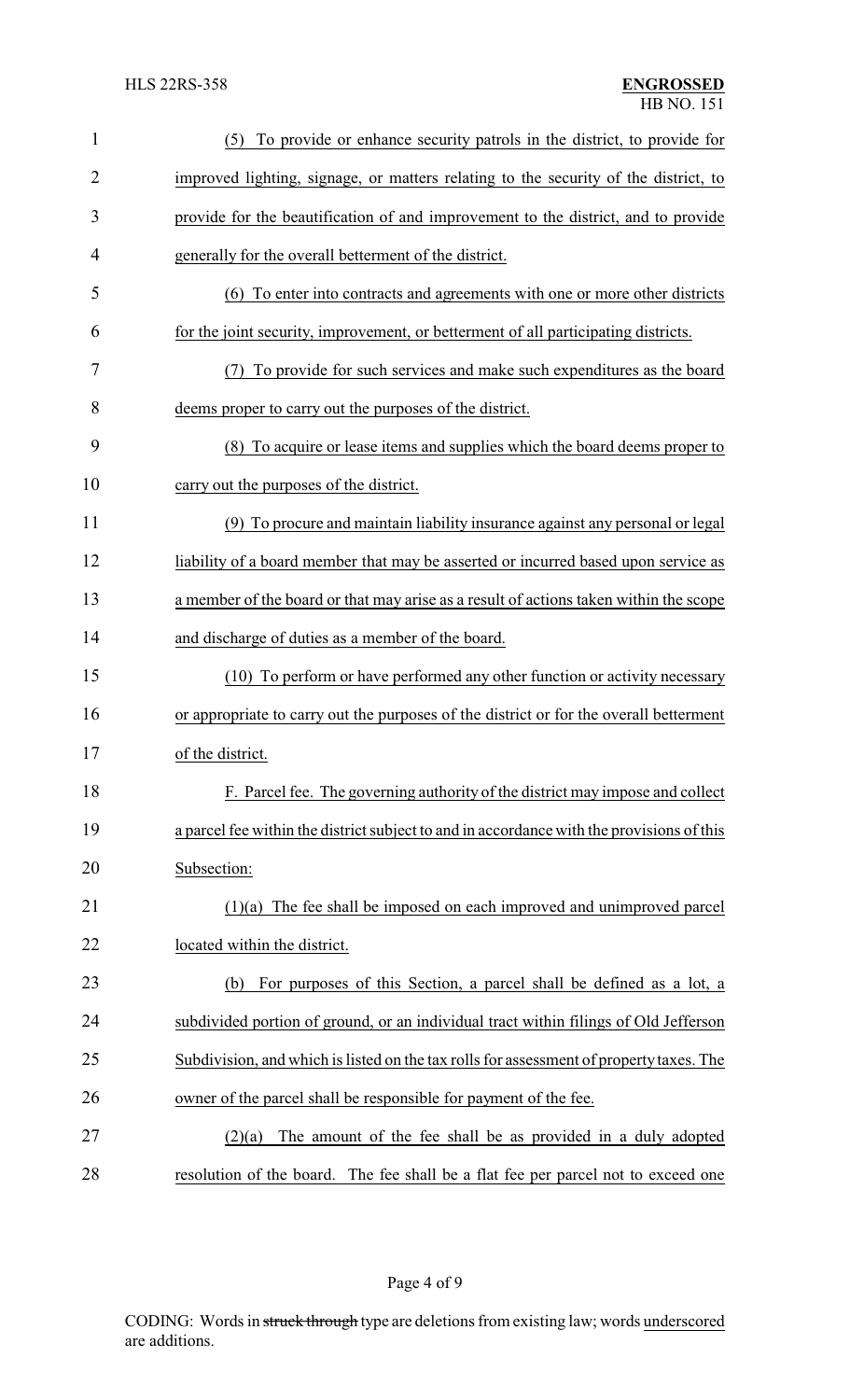| $\mathbf{1}$   | (5) To provide or enhance security patrols in the district, to provide for                |
|----------------|-------------------------------------------------------------------------------------------|
| $\overline{2}$ | improved lighting, signage, or matters relating to the security of the district, to       |
| 3              | provide for the beautification of and improvement to the district, and to provide         |
| 4              | generally for the overall betterment of the district.                                     |
| 5              | (6) To enter into contracts and agreements with one or more other districts               |
| 6              | for the joint security, improvement, or betterment of all participating districts.        |
| 7              | To provide for such services and make such expenditures as the board<br>(7)               |
| 8              | deems proper to carry out the purposes of the district.                                   |
| 9              | (8) To acquire or lease items and supplies which the board deems proper to                |
| 10             | carry out the purposes of the district.                                                   |
| 11             | (9) To procure and maintain liability insurance against any personal or legal             |
| 12             | liability of a board member that may be asserted or incurred based upon service as        |
| 13             | a member of the board or that may arise as a result of actions taken within the scope     |
| 14             | and discharge of duties as a member of the board.                                         |
| 15             | (10) To perform or have performed any other function or activity necessary                |
| 16             | or appropriate to carry out the purposes of the district or for the overall betterment    |
| 17             | of the district.                                                                          |
| 18             | F. Parcel fee. The governing authority of the district may impose and collect             |
| 19             | a parcel fee within the district subject to and in accordance with the provisions of this |
| 20             | Subsection:                                                                               |
| 21             | $(1)(a)$ The fee shall be imposed on each improved and unimproved parcel                  |
| 22             | located within the district.                                                              |
| 23             | For purposes of this Section, a parcel shall be defined as a lot, a<br>(b)                |
| 24             | subdivided portion of ground, or an individual tract within filings of Old Jefferson      |
| 25             | Subdivision, and which is listed on the tax rolls for assessment of property taxes. The   |
| 26             | owner of the parcel shall be responsible for payment of the fee.                          |
| 27             | The amount of the fee shall be as provided in a duly adopted<br>(2)(a)                    |
| 28             | resolution of the board. The fee shall be a flat fee per parcel not to exceed one         |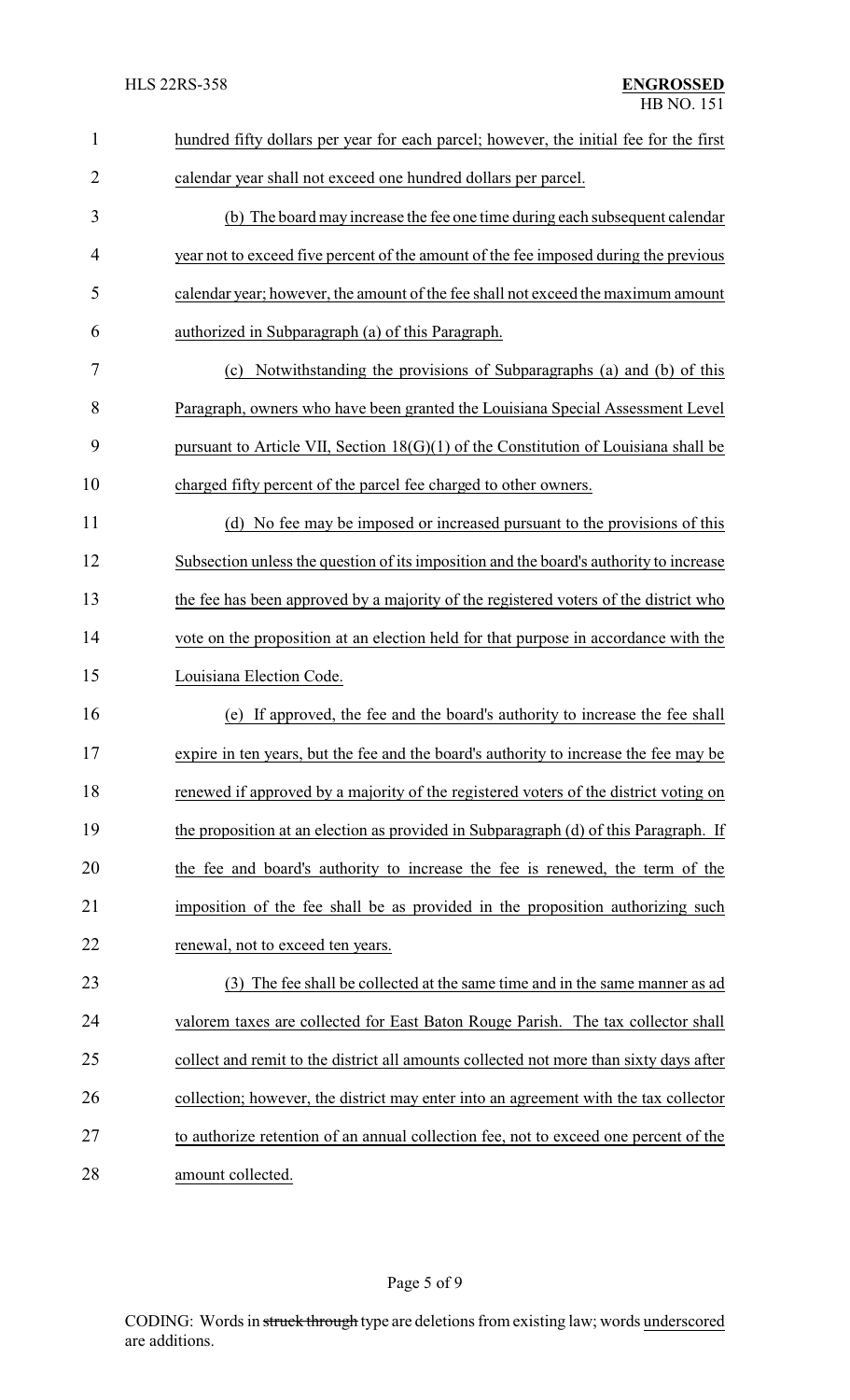| $\mathbf{1}$   | hundred fifty dollars per year for each parcel; however, the initial fee for the first |
|----------------|----------------------------------------------------------------------------------------|
| $\overline{2}$ | calendar year shall not exceed one hundred dollars per parcel.                         |
| 3              | (b) The board may increase the fee one time during each subsequent calendar            |
| 4              | year not to exceed five percent of the amount of the fee imposed during the previous   |
| 5              | calendar year; however, the amount of the fee shall not exceed the maximum amount      |
| 6              | authorized in Subparagraph (a) of this Paragraph.                                      |
| 7              | Notwithstanding the provisions of Subparagraphs (a) and (b) of this<br>(c)             |
| 8              | Paragraph, owners who have been granted the Louisiana Special Assessment Level         |
| 9              | pursuant to Article VII, Section $18(G)(1)$ of the Constitution of Louisiana shall be  |
| 10             | charged fifty percent of the parcel fee charged to other owners.                       |
| 11             | (d) No fee may be imposed or increased pursuant to the provisions of this              |
| 12             | Subsection unless the question of its imposition and the board's authority to increase |
| 13             | the fee has been approved by a majority of the registered voters of the district who   |
| 14             | vote on the proposition at an election held for that purpose in accordance with the    |
| 15             | Louisiana Election Code.                                                               |
| 16             | If approved, the fee and the board's authority to increase the fee shall<br>(e)        |
| 17             | expire in ten years, but the fee and the board's authority to increase the fee may be  |
| 18             | renewed if approved by a majority of the registered voters of the district voting on   |
| 19             | the proposition at an election as provided in Subparagraph (d) of this Paragraph. If   |
| 20             | the fee and board's authority to increase the fee is renewed, the term of the          |
| 21             | imposition of the fee shall be as provided in the proposition authorizing such         |
| 22             | renewal, not to exceed ten years.                                                      |
| 23             | (3) The fee shall be collected at the same time and in the same manner as ad           |
| 24             | valorem taxes are collected for East Baton Rouge Parish. The tax collector shall       |
| 25             | collect and remit to the district all amounts collected not more than sixty days after |
| 26             | collection; however, the district may enter into an agreement with the tax collector   |
| 27             | to authorize retention of an annual collection fee, not to exceed one percent of the   |
| 28             | amount collected.                                                                      |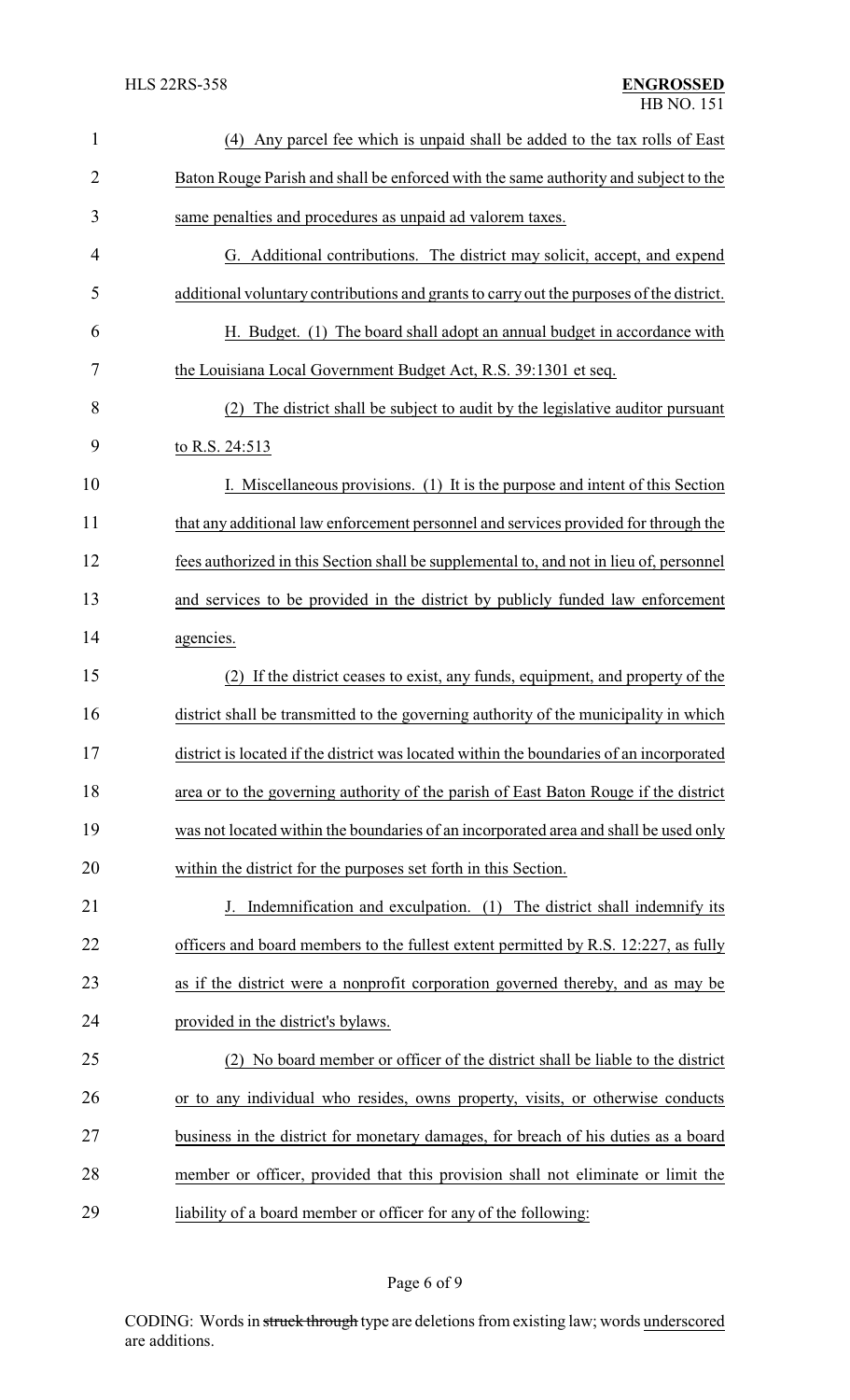| $\mathbf{1}$   | (4) Any parcel fee which is unpaid shall be added to the tax rolls of East               |
|----------------|------------------------------------------------------------------------------------------|
| $\overline{c}$ | Baton Rouge Parish and shall be enforced with the same authority and subject to the      |
| 3              | same penalties and procedures as unpaid ad valorem taxes.                                |
| $\overline{4}$ | G. Additional contributions. The district may solicit, accept, and expend                |
| 5              | additional voluntary contributions and grants to carry out the purposes of the district. |
| 6              | H. Budget. (1) The board shall adopt an annual budget in accordance with                 |
| 7              | the Louisiana Local Government Budget Act, R.S. 39:1301 et seq.                          |
| 8              | (2) The district shall be subject to audit by the legislative auditor pursuant           |
| 9              | to R.S. 24:513                                                                           |
| 10             | I. Miscellaneous provisions. (1) It is the purpose and intent of this Section            |
| 11             | that any additional law enforcement personnel and services provided for through the      |
| 12             | fees authorized in this Section shall be supplemental to, and not in lieu of, personnel  |
| 13             | and services to be provided in the district by publicly funded law enforcement           |
| 14             | agencies.                                                                                |
| 15             | If the district ceases to exist, any funds, equipment, and property of the<br>(2)        |
| 16             | district shall be transmitted to the governing authority of the municipality in which    |
| 17             | district is located if the district was located within the boundaries of an incorporated |
| 18             | area or to the governing authority of the parish of East Baton Rouge if the district     |
| 19             | was not located within the boundaries of an incorporated area and shall be used only     |
| 20             | within the district for the purposes set forth in this Section.                          |
| 21             | J. Indemnification and exculpation. (1) The district shall indemnify its                 |
| 22             | officers and board members to the fullest extent permitted by R.S. 12:227, as fully      |
| 23             | as if the district were a nonprofit corporation governed thereby, and as may be          |
| 24             | provided in the district's bylaws.                                                       |
| 25             | (2) No board member or officer of the district shall be liable to the district           |
| 26             | or to any individual who resides, owns property, visits, or otherwise conducts           |
| 27             | business in the district for monetary damages, for breach of his duties as a board       |
| 28             | member or officer, provided that this provision shall not eliminate or limit the         |
| 29             | liability of a board member or officer for any of the following:                         |

## Page 6 of 9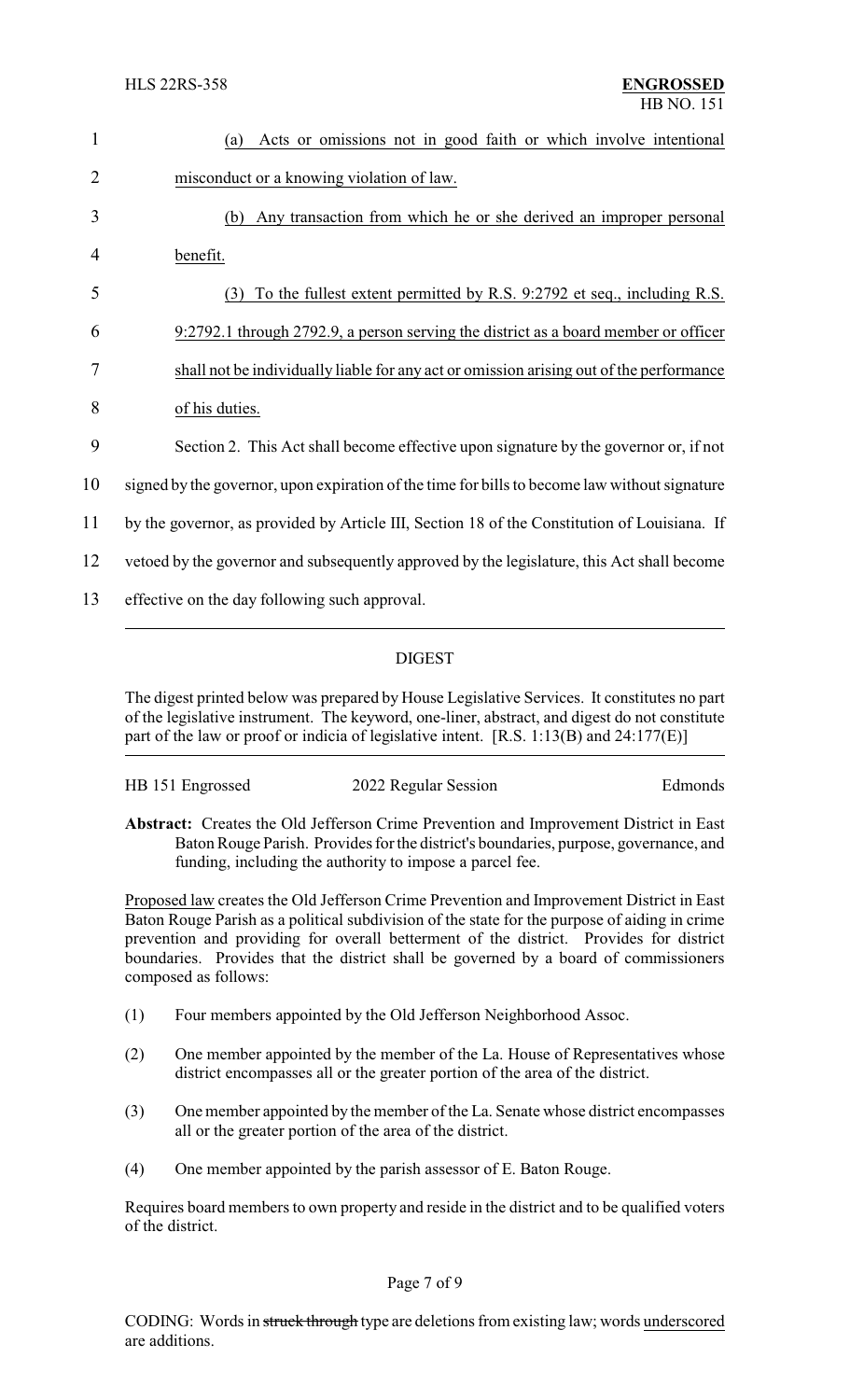| 1              | Acts or omissions not in good faith or which involve intentional<br>(a)                       |
|----------------|-----------------------------------------------------------------------------------------------|
| $\overline{2}$ | misconduct or a knowing violation of law.                                                     |
| 3              | Any transaction from which he or she derived an improper personal<br>(b)                      |
| 4              | benefit.                                                                                      |
| 5              | To the fullest extent permitted by R.S. 9:2792 et seq., including R.S.<br>(3)                 |
| 6              | 9:2792.1 through 2792.9, a person serving the district as a board member or officer           |
| 7              | shall not be individually liable for any act or omission arising out of the performance       |
| 8              | of his duties.                                                                                |
| 9              | Section 2. This Act shall become effective upon signature by the governor or, if not          |
| 10             | signed by the governor, upon expiration of the time for bills to become law without signature |
| 11             | by the governor, as provided by Article III, Section 18 of the Constitution of Louisiana. If  |
| 12             | vertoed by the governor and subsequently approved by the legislature, this Act shall become   |
| 13             | effective on the day following such approval.                                                 |

## DIGEST

The digest printed below was prepared by House Legislative Services. It constitutes no part of the legislative instrument. The keyword, one-liner, abstract, and digest do not constitute part of the law or proof or indicia of legislative intent. [R.S. 1:13(B) and 24:177(E)]

| HB 151 Engrossed | 2022 Regular Session | Edmonds |
|------------------|----------------------|---------|
|                  |                      |         |
|                  |                      |         |

**Abstract:** Creates the Old Jefferson Crime Prevention and Improvement District in East Baton Rouge Parish. Provides for the district's boundaries, purpose, governance, and funding, including the authority to impose a parcel fee.

Proposed law creates the Old Jefferson Crime Prevention and Improvement District in East Baton Rouge Parish as a political subdivision of the state for the purpose of aiding in crime prevention and providing for overall betterment of the district. Provides for district boundaries. Provides that the district shall be governed by a board of commissioners composed as follows:

- (1) Four members appointed by the Old Jefferson Neighborhood Assoc.
- (2) One member appointed by the member of the La. House of Representatives whose district encompasses all or the greater portion of the area of the district.
- (3) One member appointed by the member of the La. Senate whose district encompasses all or the greater portion of the area of the district.
- (4) One member appointed by the parish assessor of E. Baton Rouge.

Requires board members to own property and reside in the district and to be qualified voters of the district.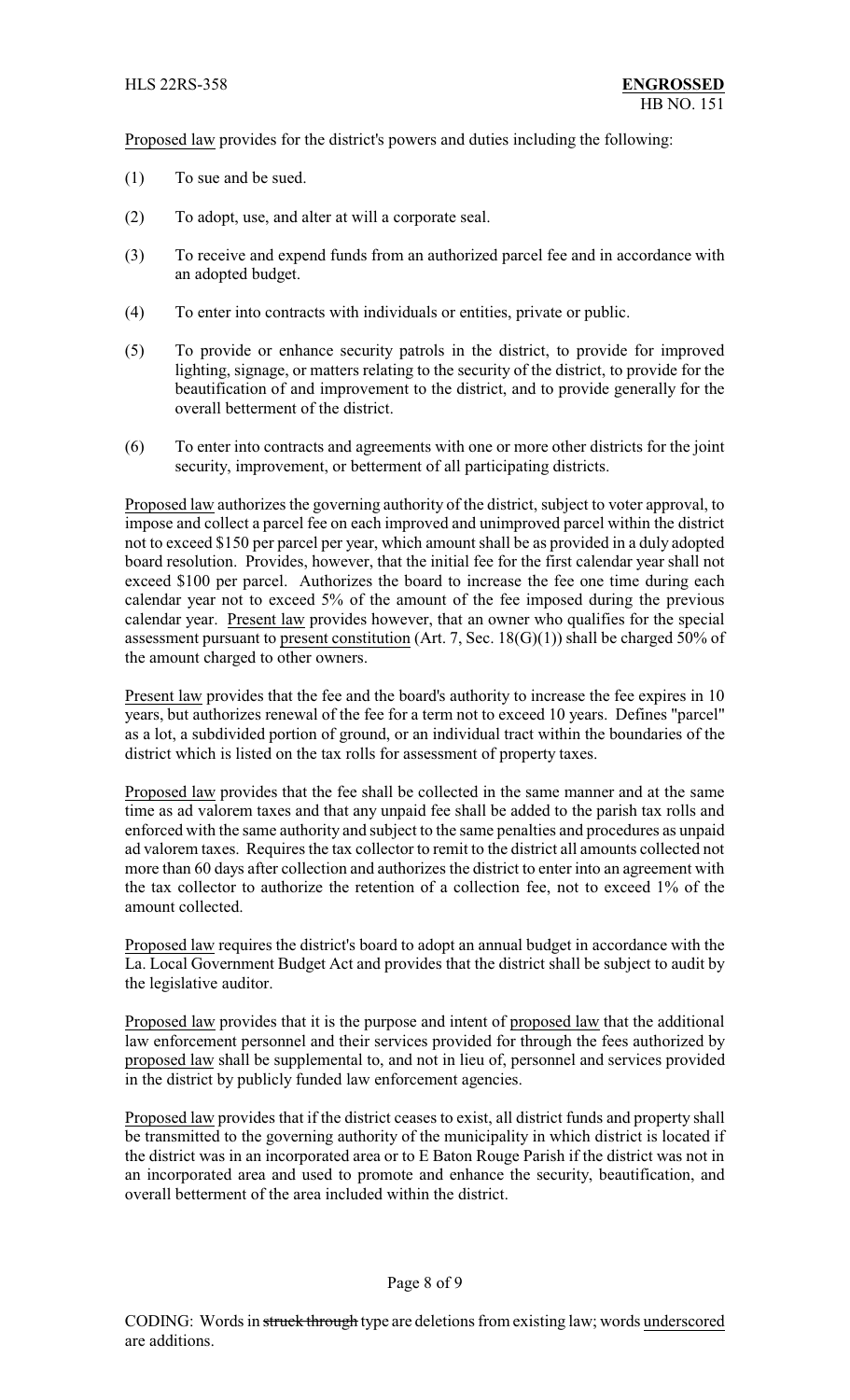Proposed law provides for the district's powers and duties including the following:

- (1) To sue and be sued.
- (2) To adopt, use, and alter at will a corporate seal.
- (3) To receive and expend funds from an authorized parcel fee and in accordance with an adopted budget.
- (4) To enter into contracts with individuals or entities, private or public.
- (5) To provide or enhance security patrols in the district, to provide for improved lighting, signage, or matters relating to the security of the district, to provide for the beautification of and improvement to the district, and to provide generally for the overall betterment of the district.
- (6) To enter into contracts and agreements with one or more other districts for the joint security, improvement, or betterment of all participating districts.

Proposed law authorizes the governing authority of the district, subject to voter approval, to impose and collect a parcel fee on each improved and unimproved parcel within the district not to exceed \$150 per parcel per year, which amount shall be as provided in a duly adopted board resolution. Provides, however, that the initial fee for the first calendar year shall not exceed \$100 per parcel. Authorizes the board to increase the fee one time during each calendar year not to exceed 5% of the amount of the fee imposed during the previous calendar year. Present law provides however, that an owner who qualifies for the special assessment pursuant to present constitution (Art. 7, Sec.  $18(G)(1)$ ) shall be charged 50% of the amount charged to other owners.

Present law provides that the fee and the board's authority to increase the fee expires in 10 years, but authorizes renewal of the fee for a term not to exceed 10 years. Defines "parcel" as a lot, a subdivided portion of ground, or an individual tract within the boundaries of the district which is listed on the tax rolls for assessment of property taxes.

Proposed law provides that the fee shall be collected in the same manner and at the same time as ad valorem taxes and that any unpaid fee shall be added to the parish tax rolls and enforced with the same authority and subject to the same penalties and procedures as unpaid ad valorem taxes. Requires the tax collector to remit to the district all amounts collected not more than 60 days after collection and authorizes the district to enter into an agreement with the tax collector to authorize the retention of a collection fee, not to exceed 1% of the amount collected.

Proposed law requires the district's board to adopt an annual budget in accordance with the La. Local Government Budget Act and provides that the district shall be subject to audit by the legislative auditor.

Proposed law provides that it is the purpose and intent of proposed law that the additional law enforcement personnel and their services provided for through the fees authorized by proposed law shall be supplemental to, and not in lieu of, personnel and services provided in the district by publicly funded law enforcement agencies.

Proposed law provides that if the district ceases to exist, all district funds and property shall be transmitted to the governing authority of the municipality in which district is located if the district was in an incorporated area or to E Baton Rouge Parish if the district was not in an incorporated area and used to promote and enhance the security, beautification, and overall betterment of the area included within the district.